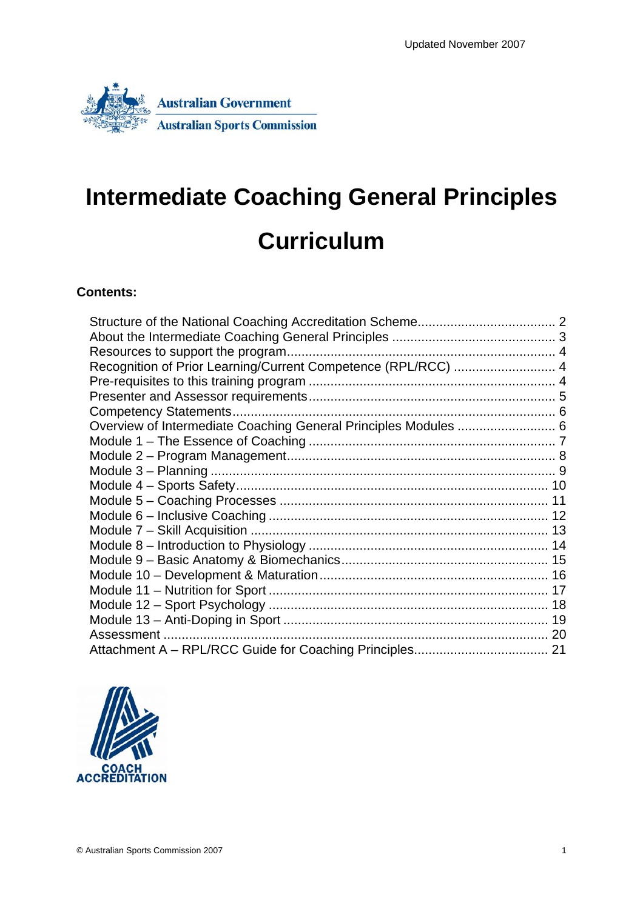

# **Intermediate Coaching General Principles Curriculum**

#### **Contents:**

| Recognition of Prior Learning/Current Competence (RPL/RCC)  4   |  |
|-----------------------------------------------------------------|--|
|                                                                 |  |
|                                                                 |  |
|                                                                 |  |
| Overview of Intermediate Coaching General Principles Modules  6 |  |
|                                                                 |  |
|                                                                 |  |
|                                                                 |  |
|                                                                 |  |
|                                                                 |  |
|                                                                 |  |
|                                                                 |  |
|                                                                 |  |
|                                                                 |  |
|                                                                 |  |
|                                                                 |  |
|                                                                 |  |
|                                                                 |  |
|                                                                 |  |
|                                                                 |  |

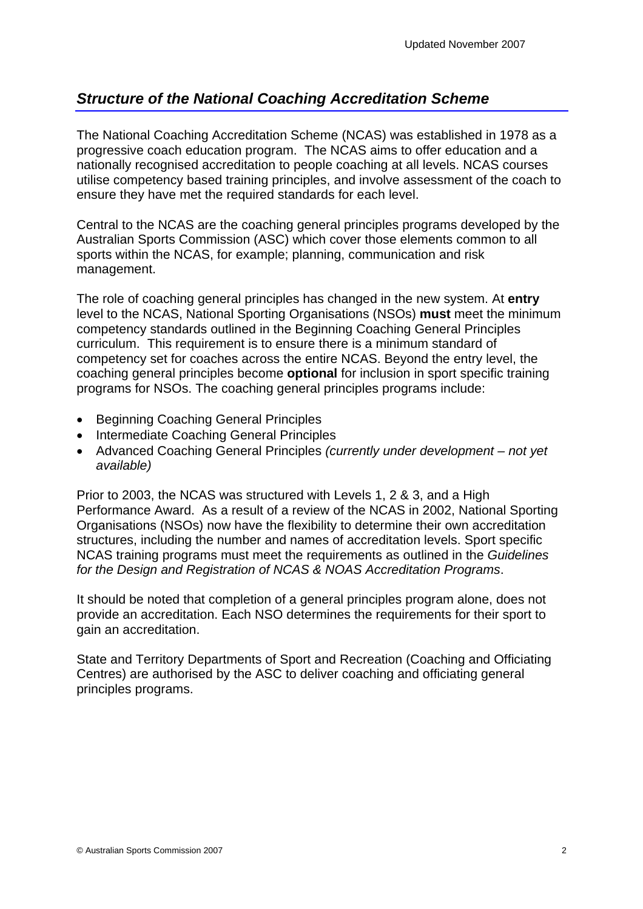## <span id="page-1-0"></span>*Structure of the National Coaching Accreditation Scheme*

The National Coaching Accreditation Scheme (NCAS) was established in 1978 as a progressive coach education program. The NCAS aims to offer education and a nationally recognised accreditation to people coaching at all levels. NCAS courses utilise competency based training principles, and involve assessment of the coach to ensure they have met the required standards for each level.

Central to the NCAS are the coaching general principles programs developed by the Australian Sports Commission (ASC) which cover those elements common to all sports within the NCAS, for example; planning, communication and risk management.

The role of coaching general principles has changed in the new system. At **entry** level to the NCAS, National Sporting Organisations (NSOs) **must** meet the minimum competency standards outlined in the Beginning Coaching General Principles curriculum. This requirement is to ensure there is a minimum standard of competency set for coaches across the entire NCAS. Beyond the entry level, the coaching general principles become **optional** for inclusion in sport specific training programs for NSOs. The coaching general principles programs include:

- Beginning Coaching General Principles
- Intermediate Coaching General Principles
- Advanced Coaching General Principles *(currently under development not yet available)*

Prior to 2003, the NCAS was structured with Levels 1, 2 & 3, and a High Performance Award. As a result of a review of the NCAS in 2002, National Sporting Organisations (NSOs) now have the flexibility to determine their own accreditation structures, including the number and names of accreditation levels. Sport specific NCAS training programs must meet the requirements as outlined in the *Guidelines for the Design and Registration of NCAS & NOAS Accreditation Programs*.

It should be noted that completion of a general principles program alone, does not provide an accreditation. Each NSO determines the requirements for their sport to gain an accreditation.

State and Territory Departments of Sport and Recreation (Coaching and Officiating Centres) are authorised by the ASC to deliver coaching and officiating general principles programs.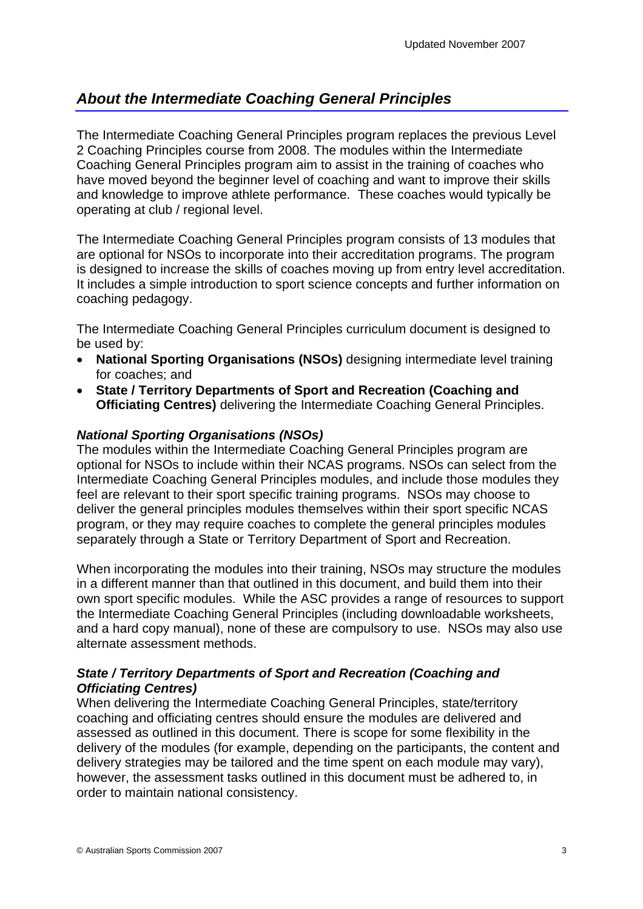## <span id="page-2-0"></span>*About the Intermediate Coaching General Principles*

The Intermediate Coaching General Principles program replaces the previous Level 2 Coaching Principles course from 2008. The modules within the Intermediate Coaching General Principles program aim to assist in the training of coaches who have moved beyond the beginner level of coaching and want to improve their skills and knowledge to improve athlete performance. These coaches would typically be operating at club / regional level.

The Intermediate Coaching General Principles program consists of 13 modules that are optional for NSOs to incorporate into their accreditation programs. The program is designed to increase the skills of coaches moving up from entry level accreditation. It includes a simple introduction to sport science concepts and further information on coaching pedagogy.

The Intermediate Coaching General Principles curriculum document is designed to be used by:

- **National Sporting Organisations (NSOs)** designing intermediate level training for coaches; and
- **State / Territory Departments of Sport and Recreation (Coaching and Officiating Centres)** delivering the Intermediate Coaching General Principles.

#### *National Sporting Organisations (NSOs)*

The modules within the Intermediate Coaching General Principles program are optional for NSOs to include within their NCAS programs. NSOs can select from the Intermediate Coaching General Principles modules, and include those modules they feel are relevant to their sport specific training programs. NSOs may choose to deliver the general principles modules themselves within their sport specific NCAS program, or they may require coaches to complete the general principles modules separately through a State or Territory Department of Sport and Recreation.

When incorporating the modules into their training, NSOs may structure the modules in a different manner than that outlined in this document, and build them into their own sport specific modules. While the ASC provides a range of resources to support the Intermediate Coaching General Principles (including downloadable worksheets, and a hard copy manual), none of these are compulsory to use. NSOs may also use alternate assessment methods.

#### *State / Territory Departments of Sport and Recreation (Coaching and Officiating Centres)*

When delivering the Intermediate Coaching General Principles, state/territory coaching and officiating centres should ensure the modules are delivered and assessed as outlined in this document. There is scope for some flexibility in the delivery of the modules (for example, depending on the participants, the content and delivery strategies may be tailored and the time spent on each module may vary), however, the assessment tasks outlined in this document must be adhered to, in order to maintain national consistency.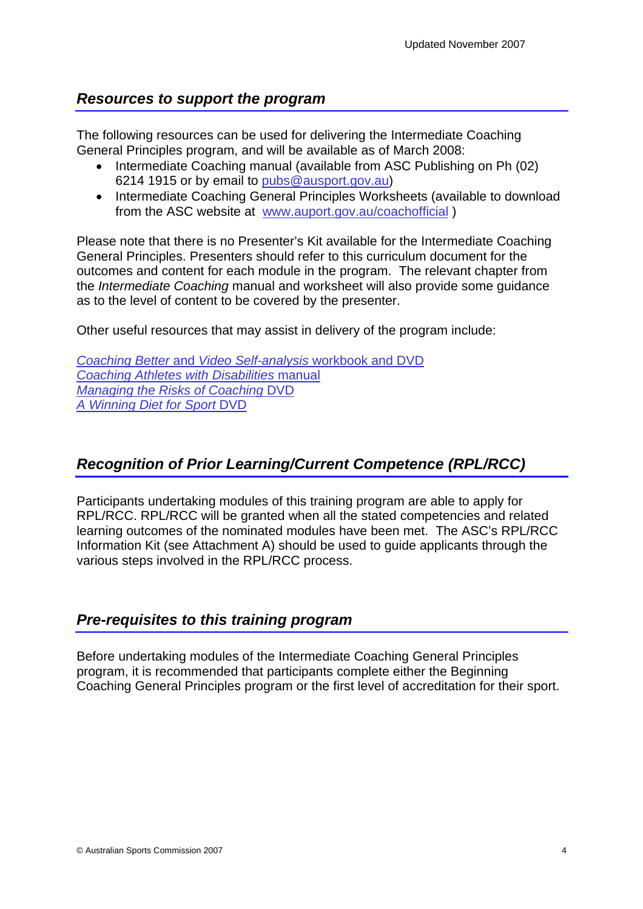### <span id="page-3-0"></span>*Resources to support the program*

The following resources can be used for delivering the Intermediate Coaching General Principles program, and will be available as of March 2008:

- Intermediate Coaching manual (available from ASC Publishing on Ph (02) 6214 1915 or by email to [pubs@ausport.gov.au\)](mailto:pubs@ausport.gov.au)
- Intermediate Coaching General Principles Worksheets (available to download from the ASC website at [www.auport.gov.au/coachofficial](http://www.auport.gov.au/coachofficial) )

Please note that there is no Presenter's Kit available for the Intermediate Coaching General Principles. Presenters should refer to this curriculum document for the outcomes and content for each module in the program. The relevant chapter from the *Intermediate Coaching* manual and worksheet will also provide some guidance as to the level of content to be covered by the presenter.

Other useful resources that may assist in delivery of the program include:

*Coaching Better* and *Video Self-analysis* [workbook and DVD](http://www.ausport.gov.au/publications/catalogue/search.asp?OrderingCode=12-104) *[Coaching Athletes with Disabilities](http://www.ausport.gov.au/publications/catalogue/search.asp?OrderingCode=12-104)* manual *[Managing the Risks of Coaching](http://www.ausport.gov.au/publications/catalogue/search.asp?OrderingCode=12-104)* DVD *[A Winning Diet for Sport](http://www.ausport.gov.au/publications/catalogue/search.asp?OrderingCode=12-104)* DVD

## *Recognition of Prior Learning/Current Competence (RPL/RCC)*

Participants undertaking modules of this training program are able to apply for RPL/RCC. RPL/RCC will be granted when all the stated competencies and related learning outcomes of the nominated modules have been met. The ASC's RPL/RCC Information Kit (see Attachment A) should be used to guide applicants through the various steps involved in the RPL/RCC process.

### *Pre-requisites to this training program*

Before undertaking modules of the Intermediate Coaching General Principles program, it is recommended that participants complete either the Beginning Coaching General Principles program or the first level of accreditation for their sport.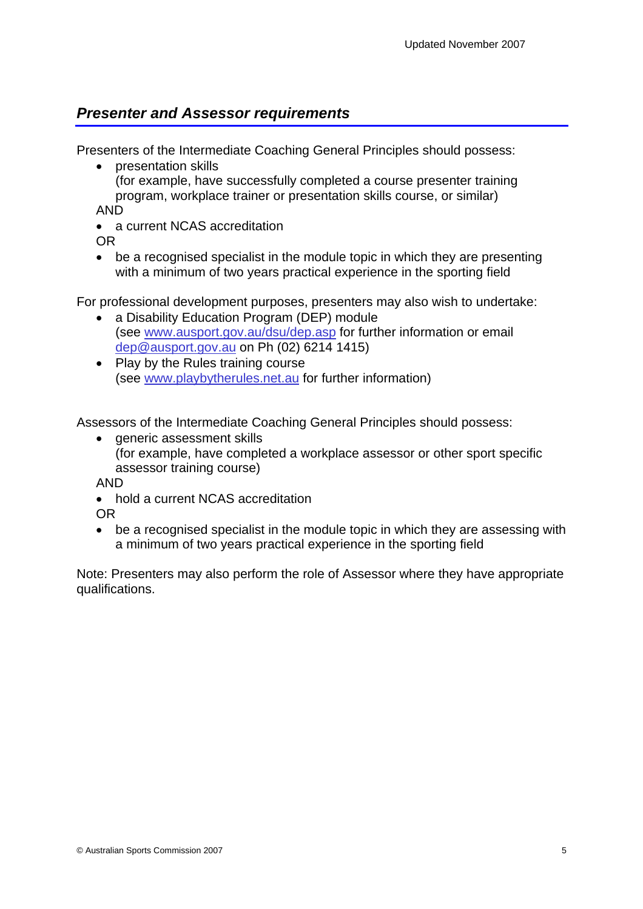## <span id="page-4-0"></span>*Presenter and Assessor requirements*

Presenters of the Intermediate Coaching General Principles should possess:

• presentation skills (for example, have successfully completed a course presenter training program, workplace trainer or presentation skills course, or similar) AND

• a current NCAS accreditation

OR

• be a recognised specialist in the module topic in which they are presenting with a minimum of two years practical experience in the sporting field

For professional development purposes, presenters may also wish to undertake:

- a Disability Education Program (DEP) module (see [www.ausport.gov.au/dsu/dep.asp](http://www.ausport.gov.au/dsu/dep.asp) for further information or email [dep@ausport.gov.au](mailto:dep@ausport.gov.au) on Ph (02) 6214 1415)
- Play by the Rules training course (see [www.playbytherules.net.au](http://www.playbytherules.net.au/) for further information)

Assessors of the Intermediate Coaching General Principles should possess:

• generic assessment skills (for example, have completed a workplace assessor or other sport specific assessor training course)

AND

• hold a current NCAS accreditation

OR

• be a recognised specialist in the module topic in which they are assessing with a minimum of two years practical experience in the sporting field

Note: Presenters may also perform the role of Assessor where they have appropriate qualifications.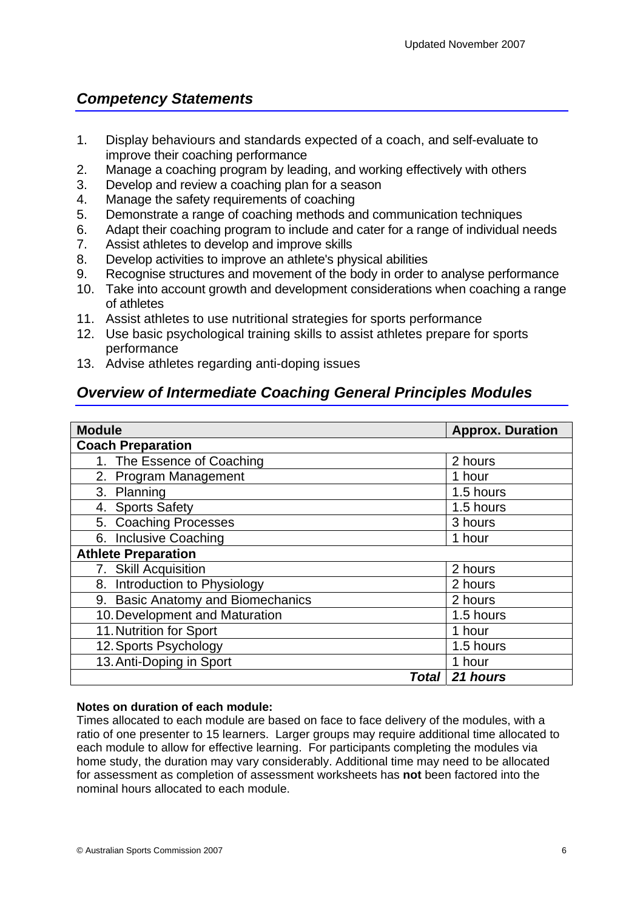## <span id="page-5-0"></span>*Competency Statements*

- 1. Display behaviours and standards expected of a coach, and self-evaluate to improve their coaching performance
- 2. Manage a coaching program by leading, and working effectively with others
- 3. Develop and review a coaching plan for a season
- 4. Manage the safety requirements of coaching
- 5. Demonstrate a range of coaching methods and communication techniques
- 6. Adapt their coaching program to include and cater for a range of individual needs
- 7. Assist athletes to develop and improve skills
- 8. Develop activities to improve an athlete's physical abilities
- 9. Recognise structures and movement of the body in order to analyse performance
- 10. Take into account growth and development considerations when coaching a range of athletes
- 11. Assist athletes to use nutritional strategies for sports performance
- 12. Use basic psychological training skills to assist athletes prepare for sports performance
- 13. Advise athletes regarding anti-doping issues

### *Overview of Intermediate Coaching General Principles Modules*

| <b>Module</b>                     | <b>Approx. Duration</b> |
|-----------------------------------|-------------------------|
| <b>Coach Preparation</b>          |                         |
| 1. The Essence of Coaching        | 2 hours                 |
| 2. Program Management             | 1 hour                  |
| 3. Planning                       | 1.5 hours               |
| 4. Sports Safety                  | 1.5 hours               |
| 5. Coaching Processes             | 3 hours                 |
| 6. Inclusive Coaching             | 1 hour                  |
| <b>Athlete Preparation</b>        |                         |
| 7. Skill Acquisition              | 2 hours                 |
| 8. Introduction to Physiology     | 2 hours                 |
| 9. Basic Anatomy and Biomechanics | 2 hours                 |
| 10. Development and Maturation    | 1.5 hours               |
| 11. Nutrition for Sport           | 1 hour                  |
| 12. Sports Psychology             | 1.5 hours               |
| 13. Anti-Doping in Sport          | 1 hour                  |
| <b>Total</b>                      | 21 hours                |

#### **Notes on duration of each module:**

Times allocated to each module are based on face to face delivery of the modules, with a ratio of one presenter to 15 learners. Larger groups may require additional time allocated to each module to allow for effective learning. For participants completing the modules via home study, the duration may vary considerably. Additional time may need to be allocated for assessment as completion of assessment worksheets has **not** been factored into the nominal hours allocated to each module.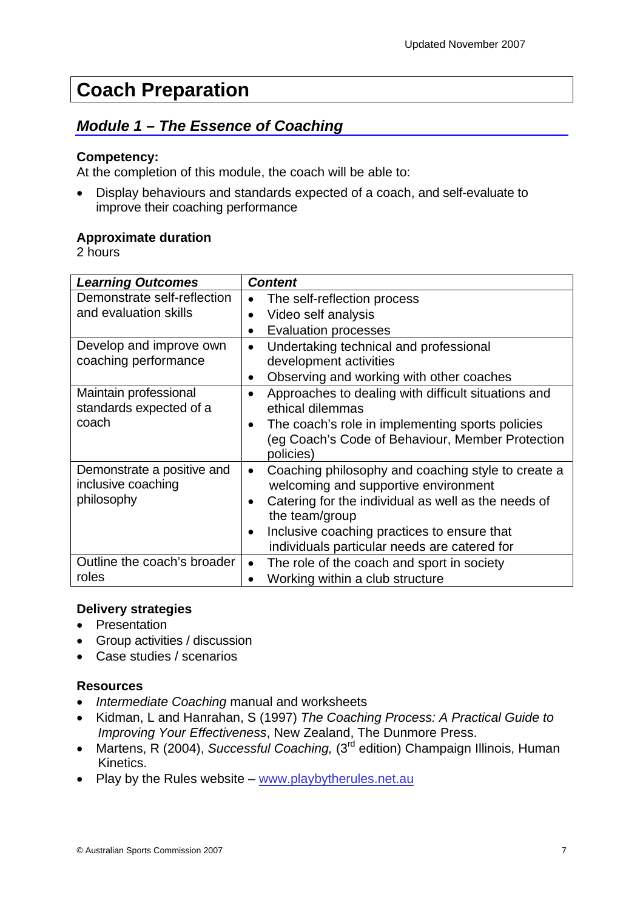## <span id="page-6-0"></span>**Coach Preparation**

## *Module 1 – The Essence of Coaching*

#### **Competency:**

At the completion of this module, the coach will be able to:

• Display behaviours and standards expected of a coach, and self-evaluate to improve their coaching performance

#### **Approximate duration**

2 hours

| <b>Learning Outcomes</b>    | <b>Content</b>                                                  |
|-----------------------------|-----------------------------------------------------------------|
| Demonstrate self-reflection | The self-reflection process                                     |
| and evaluation skills       | Video self analysis                                             |
|                             | <b>Evaluation processes</b>                                     |
| Develop and improve own     | Undertaking technical and professional                          |
| coaching performance        | development activities                                          |
|                             | Observing and working with other coaches                        |
| Maintain professional       | Approaches to dealing with difficult situations and             |
| standards expected of a     | ethical dilemmas                                                |
| coach                       | The coach's role in implementing sports policies                |
|                             | (eg Coach's Code of Behaviour, Member Protection                |
|                             | policies)                                                       |
| Demonstrate a positive and  | Coaching philosophy and coaching style to create a<br>$\bullet$ |
| inclusive coaching          | welcoming and supportive environment                            |
| philosophy                  | Catering for the individual as well as the needs of             |
|                             | the team/group                                                  |
|                             | Inclusive coaching practices to ensure that                     |
|                             | individuals particular needs are catered for                    |
| Outline the coach's broader | The role of the coach and sport in society                      |
| roles                       | Working within a club structure                                 |

#### **Delivery strategies**

- Presentation
- Group activities / discussion
- Case studies / scenarios

- *Intermediate Coaching* manual and worksheets
- Kidman, L and Hanrahan, S (1997) *The Coaching Process: A Practical Guide to Improving Your Effectiveness*, New Zealand, The Dunmore Press.
- Martens, R (2004), *Successful Coaching*, (3<sup>rd</sup> edition) Champaign Illinois, Human Kinetics.
- Play by the Rules website [www.playbytherules.net.au](http://www.playbytherules.net.au/)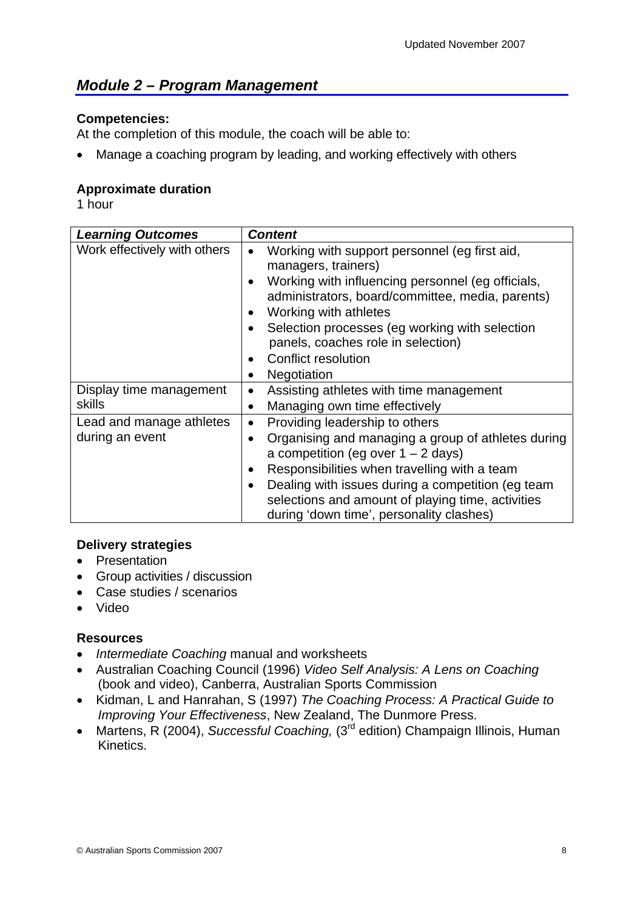## <span id="page-7-0"></span>*Module 2 – Program Management*

#### **Competencies:**

At the completion of this module, the coach will be able to:

Manage a coaching program by leading, and working effectively with others

#### **Approximate duration**

1 hour

| <b>Learning Outcomes</b>                    | <b>Content</b>                                                                                                                                                                                                                                                                                                                                                                   |
|---------------------------------------------|----------------------------------------------------------------------------------------------------------------------------------------------------------------------------------------------------------------------------------------------------------------------------------------------------------------------------------------------------------------------------------|
| Work effectively with others                | Working with support personnel (eg first aid,<br>$\bullet$<br>managers, trainers)<br>Working with influencing personnel (eg officials,<br>administrators, board/committee, media, parents)<br>Working with athletes<br>٠<br>Selection processes (eg working with selection<br>panels, coaches role in selection)<br>Conflict resolution<br>$\bullet$<br>Negotiation<br>$\bullet$ |
| Display time management<br>skills           | Assisting athletes with time management<br>$\bullet$<br>Managing own time effectively<br>٠                                                                                                                                                                                                                                                                                       |
| Lead and manage athletes<br>during an event | Providing leadership to others<br>$\bullet$<br>Organising and managing a group of athletes during<br>a competition (eg over $1 - 2$ days)<br>Responsibilities when travelling with a team<br>Dealing with issues during a competition (eg team<br>selections and amount of playing time, activities<br>during 'down time', personality clashes)                                  |

#### **Delivery strategies**

- Presentation
- Group activities / discussion
- Case studies / scenarios
- Video

- *Intermediate Coaching* manual and worksheets
- Australian Coaching Council (1996) *Video Self Analysis: A Lens on Coaching* (book and video), Canberra, Australian Sports Commission
- Kidman, L and Hanrahan, S (1997) *The Coaching Process: A Practical Guide to Improving Your Effectiveness*, New Zealand, The Dunmore Press.
- Martens, R (2004), *Successful Coaching,* (3<sup>rd</sup> edition) Champaign Illinois, Human Kinetics.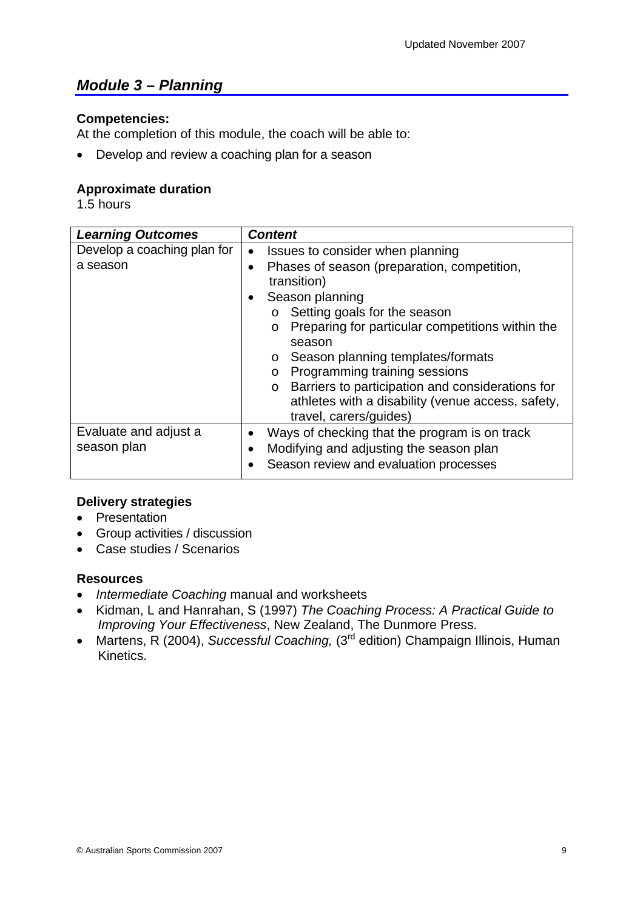## <span id="page-8-0"></span>*Module 3 – Planning*

#### **Competencies:**

At the completion of this module, the coach will be able to:

• Develop and review a coaching plan for a season

#### **Approximate duration**

1.5 hours

| <b>Learning Outcomes</b>    | <b>Content</b>                                                          |
|-----------------------------|-------------------------------------------------------------------------|
| Develop a coaching plan for | Issues to consider when planning<br>$\bullet$                           |
| a season                    | Phases of season (preparation, competition,<br>$\bullet$<br>transition) |
|                             | Season planning                                                         |
|                             | Setting goals for the season<br>$\circ$                                 |
|                             | Preparing for particular competitions within the<br>$\circ$             |
|                             | season                                                                  |
|                             | Season planning templates/formats<br>$\circ$                            |
|                             | Programming training sessions<br>$\circ$                                |
|                             | Barriers to participation and considerations for<br>$\circ$             |
|                             | athletes with a disability (venue access, safety,                       |
|                             | travel, carers/guides)                                                  |
| Evaluate and adjust a       | Ways of checking that the program is on track                           |
| season plan                 | Modifying and adjusting the season plan                                 |
|                             | Season review and evaluation processes                                  |

#### **Delivery strategies**

- Presentation
- Group activities / discussion
- Case studies / Scenarios

- *Intermediate Coaching* manual and worksheets
- Kidman, L and Hanrahan, S (1997) *The Coaching Process: A Practical Guide to Improving Your Effectiveness*, New Zealand, The Dunmore Press.
- Martens, R (2004), *Successful Coaching,* (3<sup>rd</sup> edition) Champaign Illinois, Human Kinetics.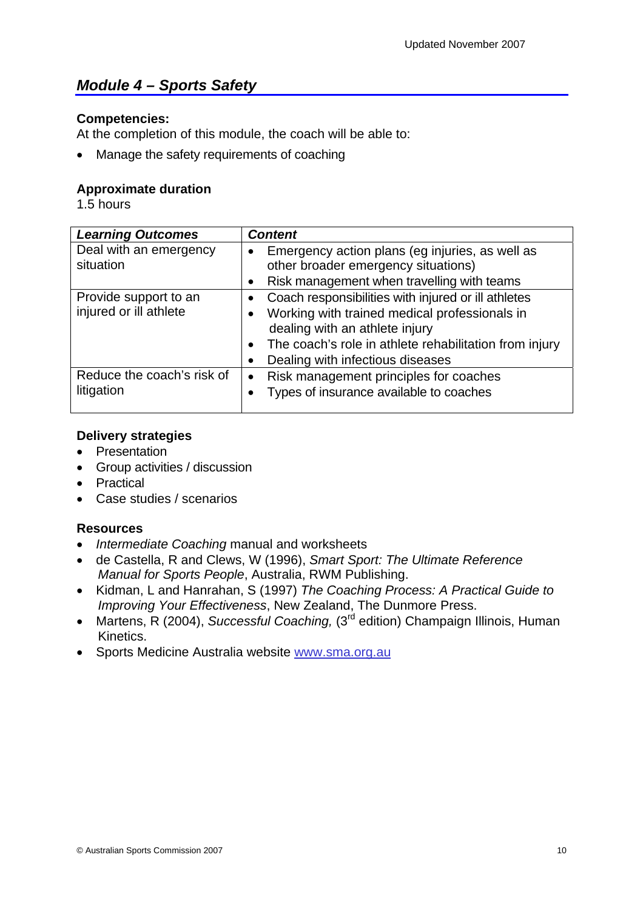## <span id="page-9-0"></span>*Module 4 – Sports Safety*

#### **Competencies:**

At the completion of this module, the coach will be able to:

• Manage the safety requirements of coaching

#### **Approximate duration**

1.5 hours

| <b>Learning Outcomes</b>                        | <b>Content</b>                                                                                                                                                                                                                       |
|-------------------------------------------------|--------------------------------------------------------------------------------------------------------------------------------------------------------------------------------------------------------------------------------------|
| Deal with an emergency<br>situation             | Emergency action plans (eg injuries, as well as<br>$\bullet$<br>other broader emergency situations)<br>Risk management when travelling with teams<br>٠                                                                               |
| Provide support to an<br>injured or ill athlete | Coach responsibilities with injured or ill athletes<br>Working with trained medical professionals in<br>dealing with an athlete injury<br>The coach's role in athlete rehabilitation from injury<br>Dealing with infectious diseases |
| Reduce the coach's risk of<br>litigation        | Risk management principles for coaches<br>$\bullet$<br>Types of insurance available to coaches                                                                                                                                       |

#### **Delivery strategies**

- Presentation
- Group activities / discussion
- Practical
- Case studies / scenarios

- *Intermediate Coaching* manual and worksheets
- de Castella, R and Clews, W (1996), *Smart Sport: The Ultimate Reference Manual for Sports People*, Australia, RWM Publishing.
- Kidman, L and Hanrahan, S (1997) *The Coaching Process: A Practical Guide to Improving Your Effectiveness*, New Zealand, The Dunmore Press.
- Martens, R (2004), *Successful Coaching*, (3<sup>rd</sup> edition) Champaign Illinois, Human Kinetics.
- Sports Medicine Australia website www.sma.org.au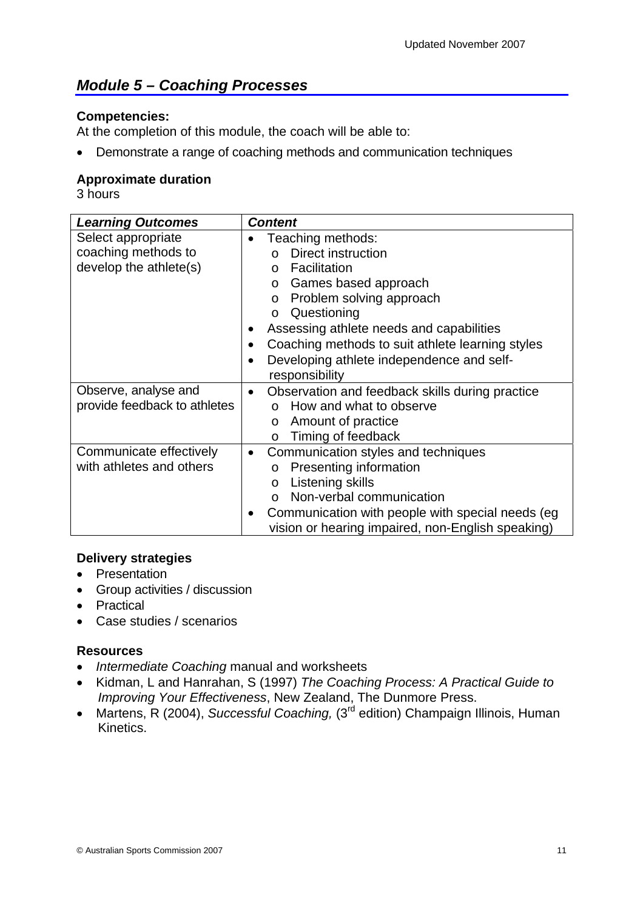## <span id="page-10-0"></span>*Module 5 – Coaching Processes*

#### **Competencies:**

At the completion of this module, the coach will be able to:

• Demonstrate a range of coaching methods and communication techniques

#### **Approximate duration**

3 hours

| <b>Learning Outcomes</b>                                            | <b>Content</b>                                                                                                                                                                                                                                                                                                                                                                          |
|---------------------------------------------------------------------|-----------------------------------------------------------------------------------------------------------------------------------------------------------------------------------------------------------------------------------------------------------------------------------------------------------------------------------------------------------------------------------------|
| Select appropriate<br>coaching methods to<br>develop the athlete(s) | Teaching methods:<br>Direct instruction<br>$\cap$<br>Facilitation<br>$\Omega$<br>Games based approach<br>$\circ$<br>Problem solving approach<br>$\circ$<br>Questioning<br>$\circ$<br>Assessing athlete needs and capabilities<br>$\bullet$<br>Coaching methods to suit athlete learning styles<br>$\bullet$<br>Developing athlete independence and self-<br>$\bullet$<br>responsibility |
| Observe, analyse and<br>provide feedback to athletes                | Observation and feedback skills during practice<br>$\bullet$<br>How and what to observe<br>Amount of practice<br>$\circ$<br>Timing of feedback<br>$\circ$                                                                                                                                                                                                                               |
| Communicate effectively<br>with athletes and others                 | Communication styles and techniques<br>$\bullet$<br>Presenting information<br>$\circ$<br>Listening skills<br>$\circ$<br>Non-verbal communication<br>$\Omega$<br>Communication with people with special needs (eg<br>vision or hearing impaired, non-English speaking)                                                                                                                   |

#### **Delivery strategies**

- Presentation
- Group activities / discussion
- Practical
- Case studies / scenarios

- *Intermediate Coaching* manual and worksheets
- Kidman, L and Hanrahan, S (1997) *The Coaching Process: A Practical Guide to Improving Your Effectiveness*, New Zealand, The Dunmore Press.
- Martens, R (2004), *Successful Coaching,* (3<sup>rd</sup> edition) Champaign Illinois, Human Kinetics.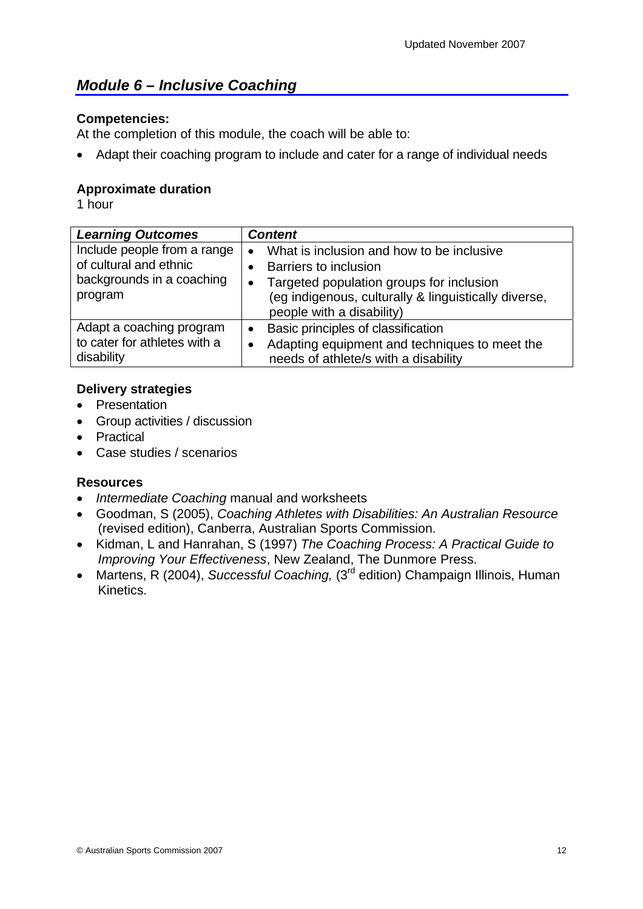## <span id="page-11-0"></span>*Module 6 – Inclusive Coaching*

#### **Competencies:**

At the completion of this module, the coach will be able to:

• Adapt their coaching program to include and cater for a range of individual needs

#### **Approximate duration**

1 hour

| <b>Learning Outcomes</b>                                                                      | <b>Content</b>                                                                                                                                                                                                                |
|-----------------------------------------------------------------------------------------------|-------------------------------------------------------------------------------------------------------------------------------------------------------------------------------------------------------------------------------|
| Include people from a range<br>of cultural and ethnic<br>backgrounds in a coaching<br>program | What is inclusion and how to be inclusive<br>$\bullet$<br>Barriers to inclusion<br>Targeted population groups for inclusion<br>$\bullet$<br>(eg indigenous, culturally & linguistically diverse,<br>people with a disability) |
| Adapt a coaching program<br>to cater for athletes with a<br>disability                        | Basic principles of classification<br>$\bullet$<br>Adapting equipment and techniques to meet the<br>needs of athlete/s with a disability                                                                                      |

#### **Delivery strategies**

- Presentation
- Group activities / discussion
- Practical
- Case studies / scenarios

- *Intermediate Coaching* manual and worksheets
- Goodman, S (2005), *Coaching Athletes with Disabilities: An Australian Resource* (revised edition), Canberra, Australian Sports Commission.
- Kidman, L and Hanrahan, S (1997) *The Coaching Process: A Practical Guide to Improving Your Effectiveness*, New Zealand, The Dunmore Press.
- Martens, R (2004), *Successful Coaching*, (3<sup>rd</sup> edition) Champaign Illinois, Human Kinetics.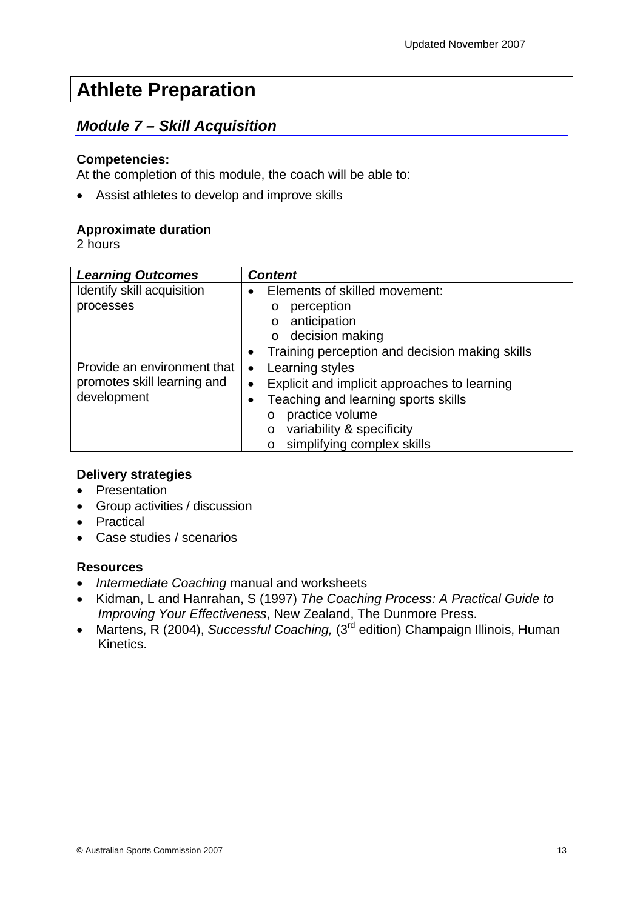## <span id="page-12-0"></span>**Athlete Preparation**

## *Module 7 – Skill Acquisition*

#### **Competencies:**

At the completion of this module, the coach will be able to:

• Assist athletes to develop and improve skills

#### **Approximate duration**

2 hours

| <b>Learning Outcomes</b>    | <b>Content</b>                                            |
|-----------------------------|-----------------------------------------------------------|
| Identify skill acquisition  | Elements of skilled movement:<br>$\bullet$                |
| processes                   | perception<br>O                                           |
|                             | anticipation<br>$\circ$                                   |
|                             | decision making<br>$\circ$                                |
|                             | Training perception and decision making skills            |
| Provide an environment that | Learning styles<br>$\bullet$                              |
| promotes skill learning and | Explicit and implicit approaches to learning<br>$\bullet$ |
| development                 | Teaching and learning sports skills                       |
|                             | practice volume<br>$\circ$                                |
|                             | variability & specificity<br>O                            |
|                             | simplifying complex skills<br>O                           |

#### **Delivery strategies**

- Presentation
- Group activities / discussion
- Practical
- Case studies / scenarios

- *Intermediate Coaching* manual and worksheets
- Kidman, L and Hanrahan, S (1997) *The Coaching Process: A Practical Guide to Improving Your Effectiveness*, New Zealand, The Dunmore Press.
- Martens, R (2004), *Successful Coaching*, (3<sup>rd</sup> edition) Champaign Illinois, Human Kinetics.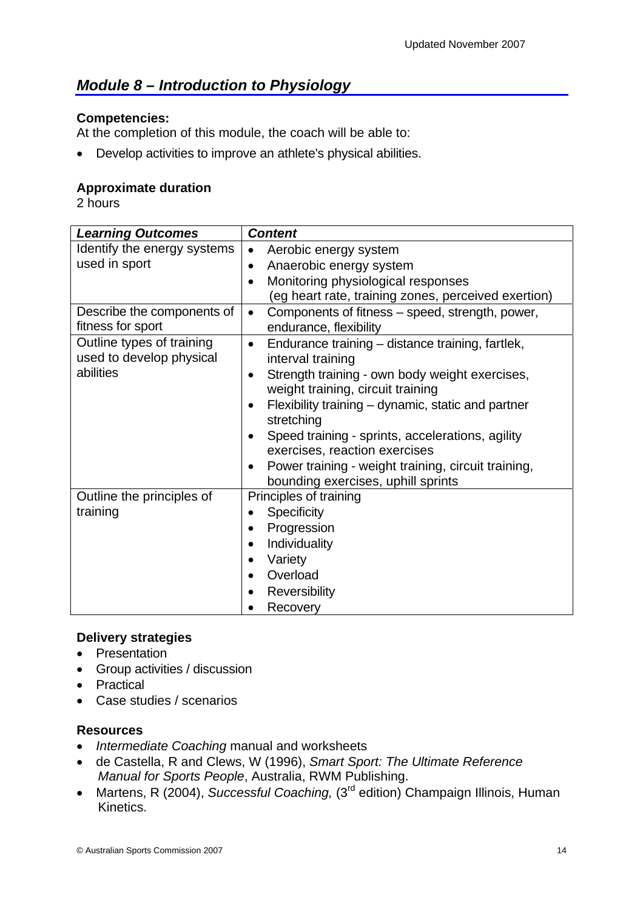## <span id="page-13-0"></span>*Module 8 – Introduction to Physiology*

#### **Competencies:**

At the completion of this module, the coach will be able to:

• Develop activities to improve an athlete's physical abilities.

#### **Approximate duration**

2 hours

| <b>Learning Outcomes</b>                              | <b>Content</b>                                                   |
|-------------------------------------------------------|------------------------------------------------------------------|
| Identify the energy systems                           | Aerobic energy system<br>$\bullet$                               |
| used in sport                                         | Anaerobic energy system                                          |
|                                                       | Monitoring physiological responses<br>$\bullet$                  |
|                                                       | (eg heart rate, training zones, perceived exertion)              |
| Describe the components of                            | Components of fitness – speed, strength, power,<br>$\bullet$     |
| fitness for sport                                     | endurance, flexibility                                           |
| Outline types of training<br>used to develop physical | Endurance training - distance training, fartlek,<br>٠            |
| abilities                                             | interval training                                                |
|                                                       | Strength training - own body weight exercises,                   |
|                                                       | weight training, circuit training                                |
|                                                       | Flexibility training – dynamic, static and partner<br>stretching |
|                                                       | Speed training - sprints, accelerations, agility                 |
|                                                       | exercises, reaction exercises                                    |
|                                                       | Power training - weight training, circuit training,              |
|                                                       | bounding exercises, uphill sprints                               |
| Outline the principles of                             | Principles of training                                           |
| training                                              | <b>Specificity</b>                                               |
|                                                       | Progression                                                      |
|                                                       | Individuality                                                    |
|                                                       | Variety                                                          |
|                                                       | Overload                                                         |
|                                                       | Reversibility                                                    |
|                                                       | Recovery                                                         |

#### **Delivery strategies**

- Presentation
- Group activities / discussion
- Practical
- Case studies / scenarios

- *Intermediate Coaching* manual and worksheets
- de Castella, R and Clews, W (1996), *Smart Sport: The Ultimate Reference Manual for Sports People*, Australia, RWM Publishing.
- Martens, R (2004), *Successful Coaching,* (3<sup>rd</sup> edition) Champaign Illinois, Human Kinetics.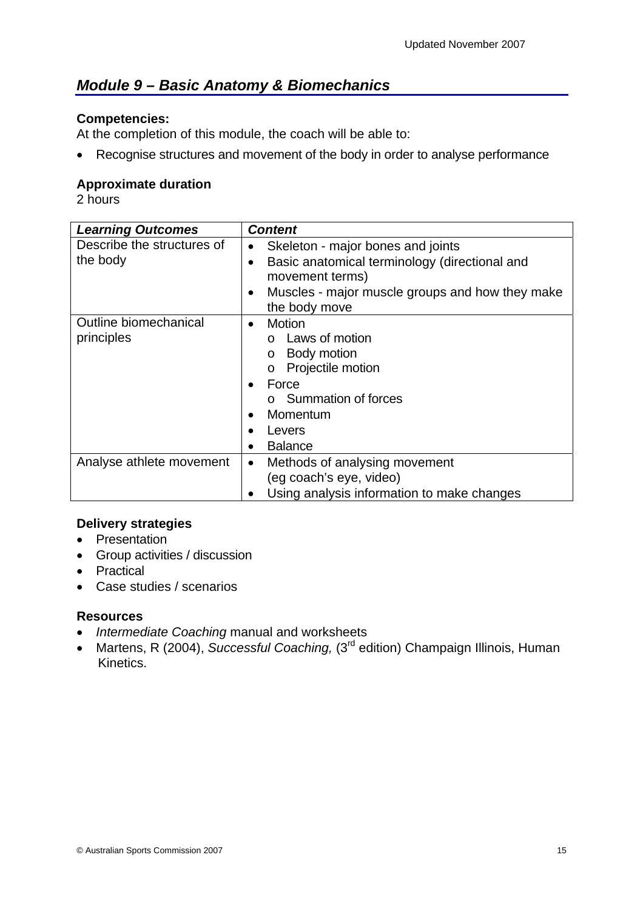## <span id="page-14-0"></span>*Module 9 – Basic Anatomy & Biomechanics*

#### **Competencies:**

At the completion of this module, the coach will be able to:

• Recognise structures and movement of the body in order to analyse performance

#### **Approximate duration**

2 hours

| <b>Learning Outcomes</b>               | <b>Content</b>                                                                     |
|----------------------------------------|------------------------------------------------------------------------------------|
| Describe the structures of<br>the body | Skeleton - major bones and joints<br>Basic anatomical terminology (directional and |
|                                        | movement terms)                                                                    |
|                                        | Muscles - major muscle groups and how they make<br>$\bullet$<br>the body move      |
| Outline biomechanical                  | Motion<br>$\bullet$                                                                |
| principles                             | Laws of motion<br>$\Omega$                                                         |
|                                        | Body motion<br>$\circ$                                                             |
|                                        | Projectile motion<br>$\circ$                                                       |
|                                        | Force                                                                              |
|                                        | o Summation of forces                                                              |
|                                        | Momentum                                                                           |
|                                        | Levers                                                                             |
|                                        | <b>Balance</b>                                                                     |
| Analyse athlete movement               | Methods of analysing movement<br>$\bullet$                                         |
|                                        | (eg coach's eye, video)                                                            |
|                                        | Using analysis information to make changes                                         |

#### **Delivery strategies**

- Presentation
- Group activities / discussion
- Practical
- Case studies / scenarios

- *Intermediate Coaching* manual and worksheets
- Martens, R (2004), *Successful Coaching*, (3<sup>rd</sup> edition) Champaign Illinois, Human Kinetics.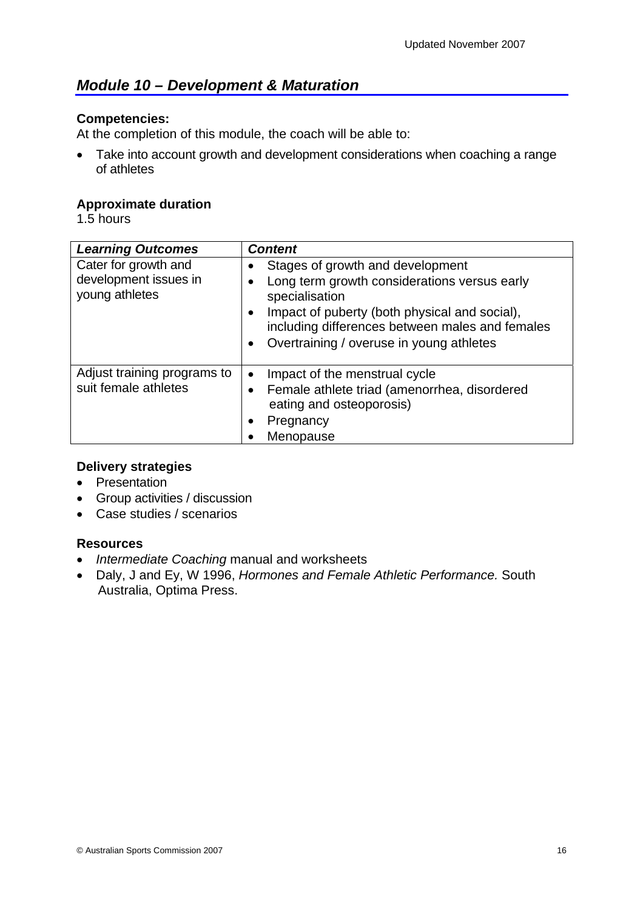## <span id="page-15-0"></span>*Module 10 – Development & Maturation*

#### **Competencies:**

At the completion of this module, the coach will be able to:

• Take into account growth and development considerations when coaching a range of athletes

#### **Approximate duration**

1.5 hours

| <b>Learning Outcomes</b>                                        | <b>Content</b>                                                                                                                                                                                                                                                                                 |
|-----------------------------------------------------------------|------------------------------------------------------------------------------------------------------------------------------------------------------------------------------------------------------------------------------------------------------------------------------------------------|
| Cater for growth and<br>development issues in<br>young athletes | Stages of growth and development<br>$\bullet$<br>Long term growth considerations versus early<br>٠<br>specialisation<br>Impact of puberty (both physical and social),<br>$\bullet$<br>including differences between males and females<br>Overtraining / overuse in young athletes<br>$\bullet$ |
| Adjust training programs to<br>suit female athletes             | Impact of the menstrual cycle<br>$\bullet$<br>Female athlete triad (amenorrhea, disordered<br>eating and osteoporosis)<br>Pregnancy<br>$\bullet$<br>Menopause                                                                                                                                  |

#### **Delivery strategies**

- Presentation
- Group activities / discussion
- Case studies / scenarios

- *Intermediate Coaching* manual and worksheets
- Daly, J and Ey, W 1996, *Hormones and Female Athletic Performance.* South Australia, Optima Press.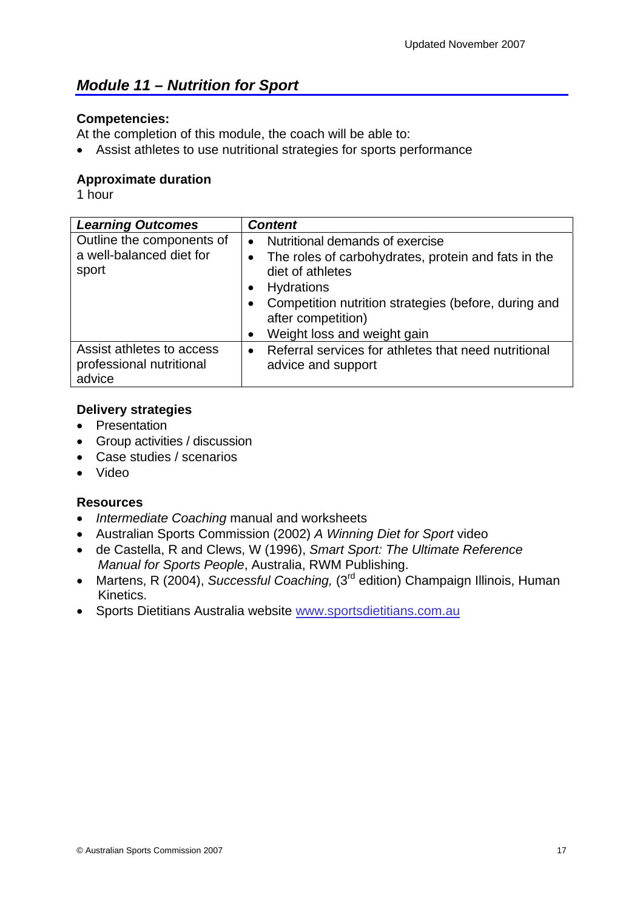## <span id="page-16-0"></span>*Module 11 – Nutrition for Sport*

#### **Competencies:**

At the completion of this module, the coach will be able to:

• Assist athletes to use nutritional strategies for sports performance

#### **Approximate duration**

1 hour

| <b>Learning Outcomes</b>                                        | <b>Content</b>                                                                                                                                                                                                                                                               |
|-----------------------------------------------------------------|------------------------------------------------------------------------------------------------------------------------------------------------------------------------------------------------------------------------------------------------------------------------------|
| Outline the components of<br>a well-balanced diet for<br>sport  | Nutritional demands of exercise<br>$\bullet$<br>The roles of carbohydrates, protein and fats in the<br>$\bullet$<br>diet of athletes<br>Hydrations<br>Competition nutrition strategies (before, during and<br>after competition)<br>Weight loss and weight gain<br>$\bullet$ |
| Assist athletes to access<br>professional nutritional<br>advice | Referral services for athletes that need nutritional<br>$\bullet$<br>advice and support                                                                                                                                                                                      |

#### **Delivery strategies**

- Presentation
- Group activities / discussion
- Case studies / scenarios
- Video

- *Intermediate Coaching* manual and worksheets
- Australian Sports Commission (2002) *A Winning Diet for Sport* video
- de Castella, R and Clews, W (1996), *Smart Sport: The Ultimate Reference Manual for Sports People*, Australia, RWM Publishing.
- Martens, R (2004), *Successful Coaching,* (3<sup>rd</sup> edition) Champaign Illinois, Human Kinetics.
- Sports Dietitians Australia website [www.sportsdietitians.com.au](http://www.sportsdietitians.com.au/)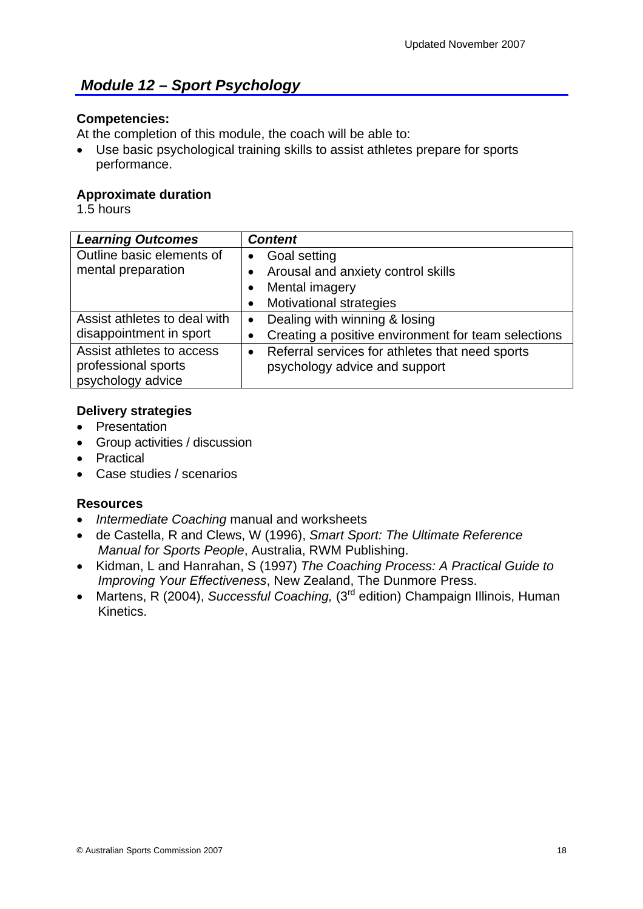## <span id="page-17-0"></span>*Module 12 – Sport Psychology*

#### **Competencies:**

At the completion of this module, the coach will be able to:

• Use basic psychological training skills to assist athletes prepare for sports performance.

#### **Approximate duration**

1.5 hours

| <b>Learning Outcomes</b>     | <b>Content</b>                                               |
|------------------------------|--------------------------------------------------------------|
| Outline basic elements of    | <b>Goal setting</b><br>$\bullet$                             |
| mental preparation           | Arousal and anxiety control skills                           |
|                              | Mental imagery                                               |
|                              | <b>Motivational strategies</b>                               |
| Assist athletes to deal with | Dealing with winning & losing<br>$\bullet$                   |
| disappointment in sport      | Creating a positive environment for team selections          |
| Assist athletes to access    | Referral services for athletes that need sports<br>$\bullet$ |
| professional sports          | psychology advice and support                                |
| psychology advice            |                                                              |

#### **Delivery strategies**

- Presentation
- Group activities / discussion
- Practical
- Case studies / scenarios

- *Intermediate Coaching* manual and worksheets
- de Castella, R and Clews, W (1996), *Smart Sport: The Ultimate Reference Manual for Sports People*, Australia, RWM Publishing.
- Kidman, L and Hanrahan, S (1997) *The Coaching Process: A Practical Guide to Improving Your Effectiveness*, New Zealand, The Dunmore Press.
- Martens, R (2004), *Successful Coaching,* (3<sup>rd</sup> edition) Champaign Illinois, Human Kinetics.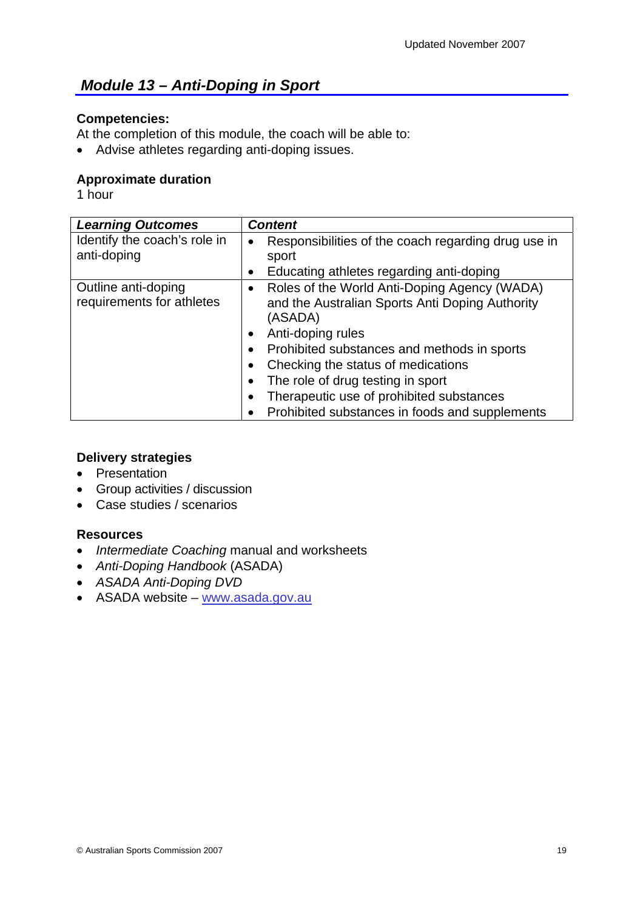## <span id="page-18-0"></span> *Module 13 – Anti-Doping in Sport*

#### **Competencies:**

At the completion of this module, the coach will be able to:

• Advise athletes regarding anti-doping issues.

#### **Approximate duration**

1 hour

| <b>Learning Outcomes</b>                         | <b>Content</b>                                                                                                                                                                                                                                                                                                                                                                    |
|--------------------------------------------------|-----------------------------------------------------------------------------------------------------------------------------------------------------------------------------------------------------------------------------------------------------------------------------------------------------------------------------------------------------------------------------------|
| Identify the coach's role in<br>anti-doping      | Responsibilities of the coach regarding drug use in<br>٠<br>sport<br>Educating athletes regarding anti-doping<br>$\bullet$                                                                                                                                                                                                                                                        |
| Outline anti-doping<br>requirements for athletes | Roles of the World Anti-Doping Agency (WADA)<br>$\bullet$<br>and the Australian Sports Anti Doping Authority<br>(ASADA)<br>Anti-doping rules<br>$\bullet$<br>Prohibited substances and methods in sports<br>Checking the status of medications<br>The role of drug testing in sport<br>Therapeutic use of prohibited substances<br>Prohibited substances in foods and supplements |

#### **Delivery strategies**

- Presentation
- Group activities / discussion
- Case studies / scenarios

- *Intermediate Coaching* manual and worksheets
- *Anti-Doping Handbook* (ASADA)
- *ASADA Anti-Doping DVD*
- ASADA website [www.asada.gov.au](http://www.asada.gov.au/)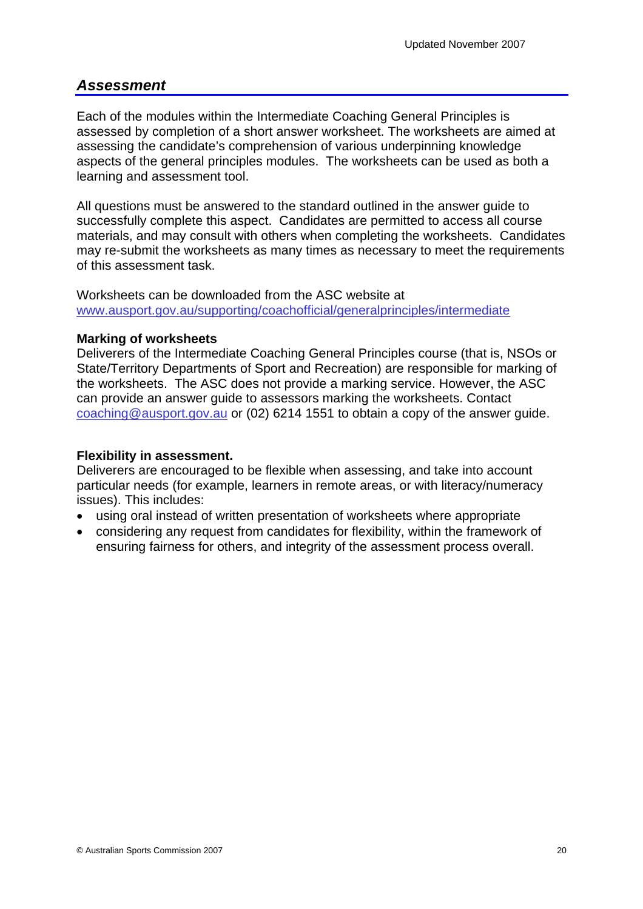#### <span id="page-19-0"></span>*Assessment*

Each of the modules within the Intermediate Coaching General Principles is assessed by completion of a short answer worksheet. The worksheets are aimed at assessing the candidate's comprehension of various underpinning knowledge aspects of the general principles modules. The worksheets can be used as both a learning and assessment tool.

All questions must be answered to the standard outlined in the answer guide to successfully complete this aspect. Candidates are permitted to access all course materials, and may consult with others when completing the worksheets. Candidates may re-submit the worksheets as many times as necessary to meet the requirements of this assessment task.

Worksheets can be downloaded from the ASC website at [www.ausport.gov.au/supporting/coachofficial/generalprinciples/intermediate](http://www.ausport.gov.au/supporting/coachofficial/generalprinciples/intermediate)

#### **Marking of worksheets**

Deliverers of the Intermediate Coaching General Principles course (that is, NSOs or State/Territory Departments of Sport and Recreation) are responsible for marking of the worksheets. The ASC does not provide a marking service. However, the ASC can provide an answer guide to assessors marking the worksheets. Contact [coaching@ausport.gov.au](mailto:coaching@ausport.gov.au) or (02) 6214 1551 to obtain a copy of the answer guide.

#### **Flexibility in assessment.**

Deliverers are encouraged to be flexible when assessing, and take into account particular needs (for example, learners in remote areas, or with literacy/numeracy issues). This includes:

- using oral instead of written presentation of worksheets where appropriate
- considering any request from candidates for flexibility, within the framework of ensuring fairness for others, and integrity of the assessment process overall.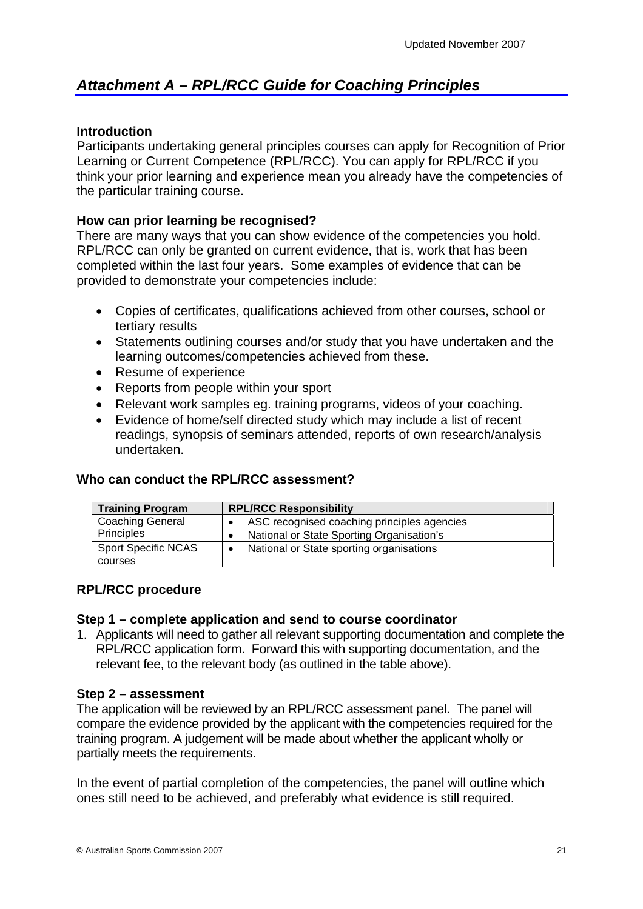## <span id="page-20-0"></span>*Attachment A – RPL/RCC Guide for Coaching Principles*

#### **Introduction**

Participants undertaking general principles courses can apply for Recognition of Prior Learning or Current Competence (RPL/RCC). You can apply for RPL/RCC if you think your prior learning and experience mean you already have the competencies of the particular training course.

#### **How can prior learning be recognised?**

There are many ways that you can show evidence of the competencies you hold. RPL/RCC can only be granted on current evidence, that is, work that has been completed within the last four years. Some examples of evidence that can be provided to demonstrate your competencies include:

- Copies of certificates, qualifications achieved from other courses, school or tertiary results
- Statements outlining courses and/or study that you have undertaken and the learning outcomes/competencies achieved from these.
- Resume of experience
- Reports from people within your sport
- Relevant work samples eg. training programs, videos of your coaching.
- Evidence of home/self directed study which may include a list of recent readings, synopsis of seminars attended, reports of own research/analysis undertaken.

#### **Who can conduct the RPL/RCC assessment?**

| <b>Training Program</b>    | <b>RPL/RCC Responsibility</b>                          |  |  |
|----------------------------|--------------------------------------------------------|--|--|
| <b>Coaching General</b>    | ASC recognised coaching principles agencies            |  |  |
| Principles                 | National or State Sporting Organisation's<br>$\bullet$ |  |  |
| <b>Sport Specific NCAS</b> | National or State sporting organisations<br>$\bullet$  |  |  |
| courses                    |                                                        |  |  |

#### **RPL/RCC procedure**

#### **Step 1 – complete application and send to course coordinator**

1. Applicants will need to gather all relevant supporting documentation and complete the RPL/RCC application form. Forward this with supporting documentation, and the relevant fee, to the relevant body (as outlined in the table above).

#### **Step 2 – assessment**

The application will be reviewed by an RPL/RCC assessment panel. The panel will compare the evidence provided by the applicant with the competencies required for the training program. A judgement will be made about whether the applicant wholly or partially meets the requirements.

In the event of partial completion of the competencies, the panel will outline which ones still need to be achieved, and preferably what evidence is still required.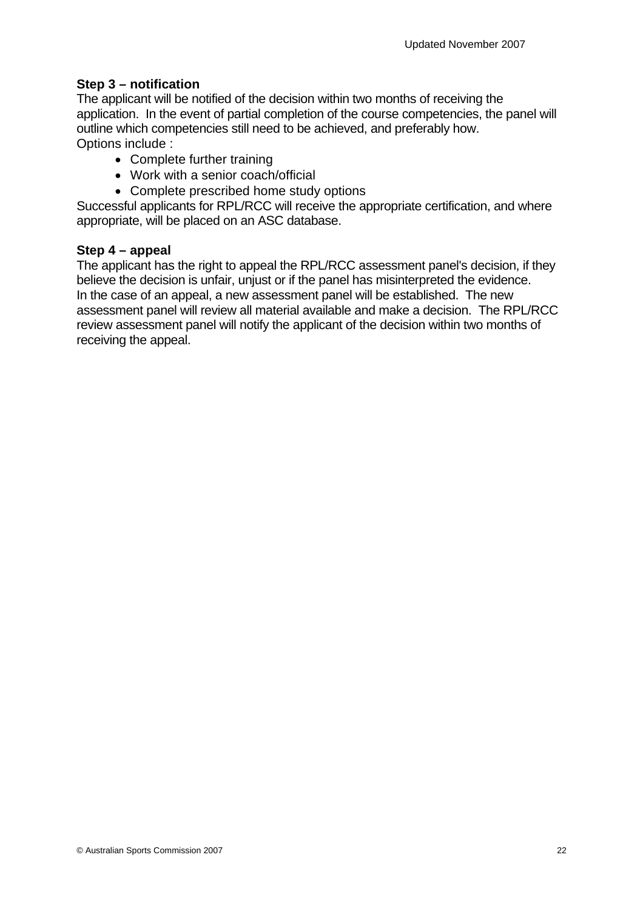#### **Step 3 – notification**

The applicant will be notified of the decision within two months of receiving the application. In the event of partial completion of the course competencies, the panel will outline which competencies still need to be achieved, and preferably how. Options include :

- Complete further training
- Work with a senior coach/official
- Complete prescribed home study options

Successful applicants for RPL/RCC will receive the appropriate certification, and where appropriate, will be placed on an ASC database.

#### **Step 4 – appeal**

The applicant has the right to appeal the RPL/RCC assessment panel's decision, if they believe the decision is unfair, unjust or if the panel has misinterpreted the evidence. In the case of an appeal, a new assessment panel will be established. The new assessment panel will review all material available and make a decision. The RPL/RCC review assessment panel will notify the applicant of the decision within two months of receiving the appeal.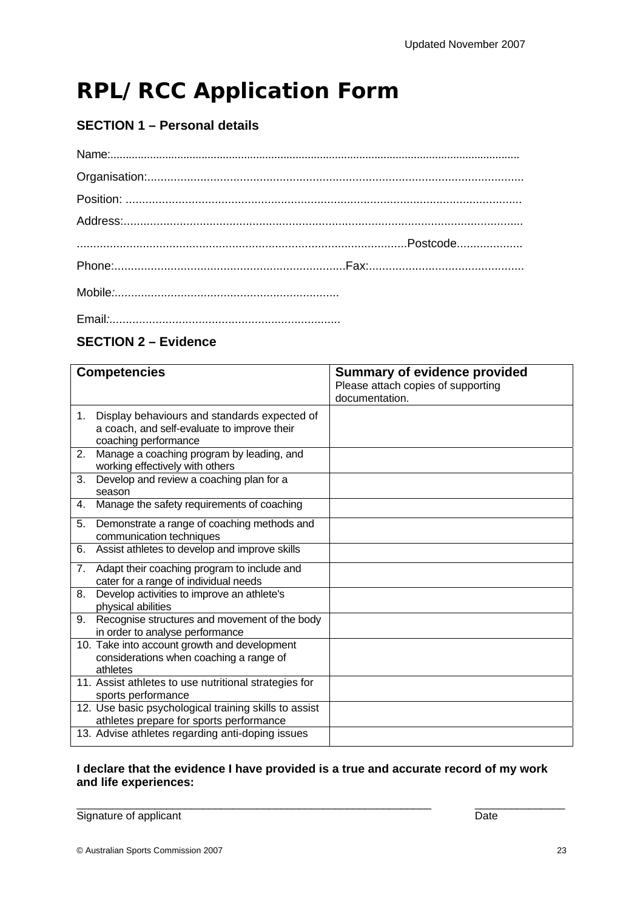## **RPL/RCC Application Form**

## **SECTION 1 – Personal details**

#### **SECTION 2 – Evidence**

|    | <b>Competencies</b>                                                                                                 | <b>Summary of evidence provided</b><br>Please attach copies of supporting |
|----|---------------------------------------------------------------------------------------------------------------------|---------------------------------------------------------------------------|
|    |                                                                                                                     | documentation.                                                            |
| 1. | Display behaviours and standards expected of<br>a coach, and self-evaluate to improve their<br>coaching performance |                                                                           |
| 2. | Manage a coaching program by leading, and<br>working effectively with others                                        |                                                                           |
| 3. | Develop and review a coaching plan for a<br>season                                                                  |                                                                           |
| 4. | Manage the safety requirements of coaching                                                                          |                                                                           |
| 5. | Demonstrate a range of coaching methods and<br>communication techniques                                             |                                                                           |
| 6. | Assist athletes to develop and improve skills                                                                       |                                                                           |
| 7. | Adapt their coaching program to include and<br>cater for a range of individual needs                                |                                                                           |
| 8. | Develop activities to improve an athlete's<br>physical abilities                                                    |                                                                           |
| 9. | Recognise structures and movement of the body<br>in order to analyse performance                                    |                                                                           |
|    | 10. Take into account growth and development<br>considerations when coaching a range of<br>athletes                 |                                                                           |
|    | 11. Assist athletes to use nutritional strategies for<br>sports performance                                         |                                                                           |
|    | 12. Use basic psychological training skills to assist<br>athletes prepare for sports performance                    |                                                                           |
|    | 13. Advise athletes regarding anti-doping issues                                                                    |                                                                           |

#### **I declare that the evidence I have provided is a true and accurate record of my work and life experiences:**

\_\_\_\_\_\_\_\_\_\_\_\_\_\_\_\_\_\_\_\_\_\_\_\_\_\_\_\_\_\_\_\_\_\_\_\_\_\_\_\_\_\_\_\_\_\_\_\_\_\_\_\_\_\_\_\_\_\_\_ \_\_\_\_\_\_\_\_\_\_\_\_\_\_\_ Signature of applicant Date Controller and Date Date Date Date Date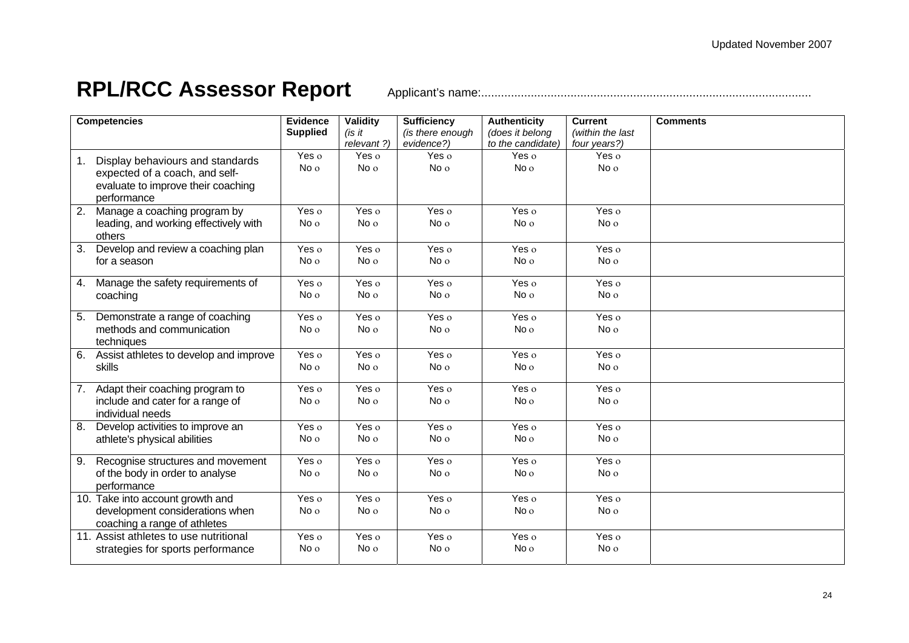## **RPL/RCC Assessor Report** Applicant's name:....................................................................................................

| <b>Competencies</b> |                                        | <b>Evidence</b> | Validity        | <b>Sufficiency</b> | <b>Authenticity</b> | <b>Current</b>     | <b>Comments</b> |
|---------------------|----------------------------------------|-----------------|-----------------|--------------------|---------------------|--------------------|-----------------|
|                     |                                        | <b>Supplied</b> | (is it          | (is there enough   | (does it belong     | (within the last   |                 |
|                     |                                        |                 | relevant ?)     | evidence?)         | to the candidate)   | four years?)       |                 |
| 1.                  | Display behaviours and standards       | Yes o           | Yes o           | Yes o              | Yes o               | Yes o              |                 |
|                     | expected of a coach, and self-         | No o            | No <sub>o</sub> | No o               | No <sub>o</sub>     | No o               |                 |
|                     | evaluate to improve their coaching     |                 |                 |                    |                     |                    |                 |
| performance         |                                        |                 |                 |                    |                     |                    |                 |
| 2.                  | Manage a coaching program by           | Yes o           | Yes o           | Yes o              | Yes o               | Yes o              |                 |
|                     | leading, and working effectively with  | No <sub>o</sub> | No <sub>o</sub> | No o               | No o                | No o               |                 |
| others              |                                        |                 |                 |                    |                     |                    |                 |
| 3.                  | Develop and review a coaching plan     | Yes o           | Yes o           | Yes o              | Yes o               | Yes o              |                 |
| for a season        |                                        | No o            | No <sub>o</sub> | No o               | No o                | No o               |                 |
| 4.                  | Manage the safety requirements of      | Yes o           | Yes o           | Yes o              | Yes o               | Yes $\overline{o}$ |                 |
| coaching            |                                        | No <sub>o</sub> | No <sub>o</sub> | No o               | No o                | No o               |                 |
|                     |                                        |                 |                 |                    |                     |                    |                 |
| 5.                  | Demonstrate a range of coaching        | Yes o           | Yes o           | Yes o              | Yes o               | Yes o              |                 |
|                     | methods and communication              | No o            | No <sub>o</sub> | No <sub>o</sub>    | No <sub>o</sub>     | No <sub>o</sub>    |                 |
| techniques          |                                        |                 |                 |                    |                     |                    |                 |
| 6.                  | Assist athletes to develop and improve | Yes o           | Yes $o$         | Yes o              | Yes o               | Yes o              |                 |
| skills              |                                        | No <sub>o</sub> | No <sub>o</sub> | No o               | No o                | No o               |                 |
| 7.                  | Adapt their coaching program to        | Yes o           | Yes o           | Yes o              | Yes o               | Yes o              |                 |
|                     | include and cater for a range of       | No o            | No <sub>o</sub> | No o               | No o                | No o               |                 |
| individual needs    |                                        |                 |                 |                    |                     |                    |                 |
| 8.                  | Develop activities to improve an       | Yes o           | Yes o           | Yes o              | Yes o               | Yes o              |                 |
|                     | athlete's physical abilities           | No <sub>o</sub> | No o            | No o               | No o                | No o               |                 |
| 9.                  | Recognise structures and movement      | Yes o           | Yes o           | Yes o              | Yes <sub>o</sub>    | Yes o              |                 |
|                     | of the body in order to analyse        | No o            | No o            | No o               | No o                | No o               |                 |
| performance         |                                        |                 |                 |                    |                     |                    |                 |
|                     | 10. Take into account growth and       | Yes o           | Yes o           | Yes o              | Yes o               | Yes o              |                 |
|                     | development considerations when        | No <sub>o</sub> | No <sub>o</sub> | No o               | No <sub>o</sub>     | No o               |                 |
|                     | coaching a range of athletes           |                 |                 |                    |                     |                    |                 |
|                     | 11. Assist athletes to use nutritional | Yes o           | Yes o           | Yes o              | Yes o               | Yes o              |                 |
|                     | strategies for sports performance      | No <sub>o</sub> | No o            | No o               | No <sub>o</sub>     | No o               |                 |
|                     |                                        |                 |                 |                    |                     |                    |                 |